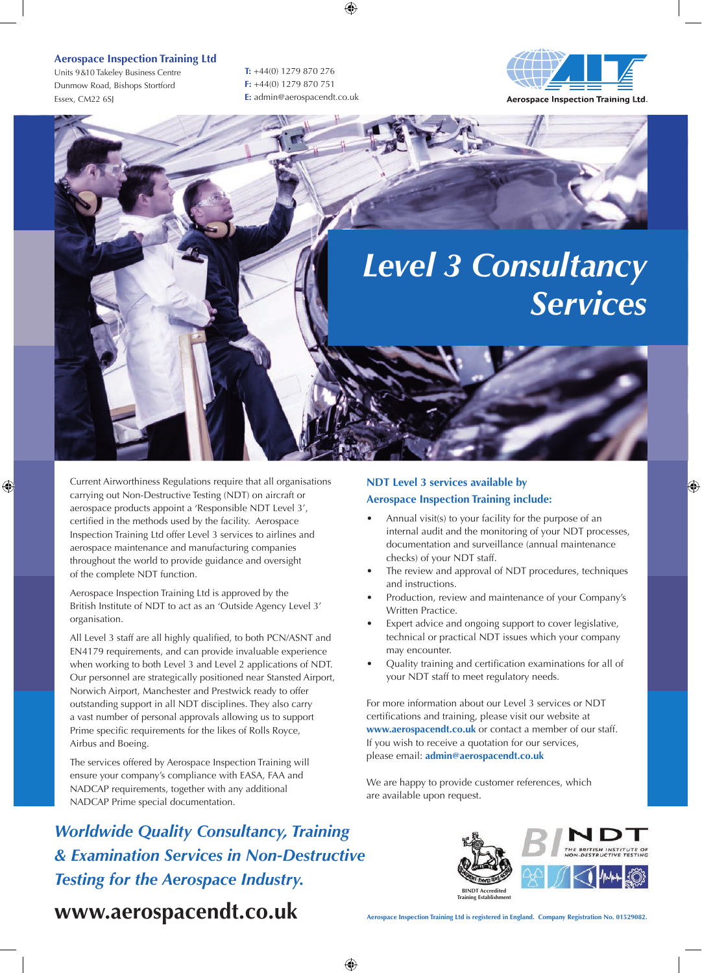### **Aerospace Inspection Training Ltd**

Units 9 & 10 Takeley Business Centre Dunmow Road, Bishops Stortford Essex, CM22 6SJ

**T:** +44(0) 1279 870 276 **F:** +44(0) 1279 870 751 **E:** admin@aerospacendt.co.uk



**Aerospace Inspection Training Ltd.** 

## *Level 3 Consultancy Services*

Current Airworthiness Regulations require that all organisations carrying out Non-Destructive Testing (NDT) on aircraft or aerospace products appoint a 'Responsible NDT Level 3', certified in the methods used by the facility. Aerospace Inspection Training Ltd offer Level 3 services to airlines and aerospace maintenance and manufacturing companies throughout the world to provide guidance and oversight of the complete NDT function.

Aerospace Inspection Training Ltd is approved by the British Institute of NDT to act as an 'Outside Agency Level 3' organisation.

All Level 3 staff are all highly qualified, to both PCN/ASNT and EN4179 requirements, and can provide invaluable experience when working to both Level 3 and Level 2 applications of NDT. Our personnel are strategically positioned near Stansted Airport, Norwich Airport, Manchester and Prestwick ready to offer outstanding support in all NDT disciplines. They also carry a vast number of personal approvals allowing us to support Prime specific requirements for the likes of Rolls Royce, Airbus and Boeing.

The services offered by Aerospace Inspection Training will ensure your company's compliance with EASA, FAA and NADCAP requirements, together with any additional NADCAP Prime special documentation.

*Worldwide Quality Consultancy, Training & Examination Services in Non-Destructive Testing for the Aerospace Industry.* 

### **NDT Level 3 services available by Aerospace Inspection Training include:**

- Annual visit(s) to your facility for the purpose of an internal audit and the monitoring of your NDT processes, documentation and surveillance (annual maintenance checks) of your NDT staff.
- The review and approval of NDT procedures, techniques and instructions.
- Production, review and maintenance of your Company's Written Practice.
- Expert advice and ongoing support to cover legislative, technical or practical NDT issues which your company may encounter.
- Quality training and certification examinations for all of your NDT staff to meet regulatory needs.

For more information about our Level 3 services or NDT certifications and training, please visit our website at **www.aerospacendt.co.uk** or contact a member of our staff. If you wish to receive a quotation for our services, please email: **admin@aerospacendt.co.uk** 

We are happy to provide customer references, which are available upon request.



**www.aerospacendt.co.uk**

**Aerospace Inspection Training Ltd is registered in England. Company Registration No. 01529082.**